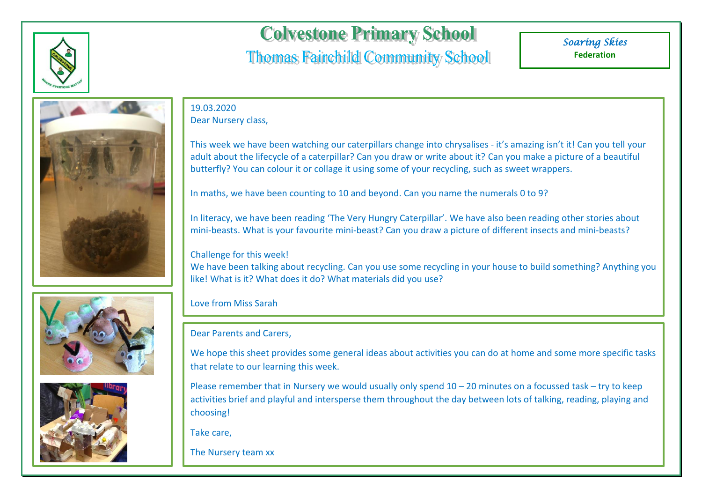





## **Colvestone Primary School**

## **Thomas Fairchild Community School**

*Soaring Skies*  **Federation**

19.03.2020 Dear Nursery class,

This week we have been watching our caterpillars change into chrysalises - it's amazing isn't it! Can you tell your adult about the lifecycle of a caterpillar? Can you draw or write about it? Can you make a picture of a beautiful butterfly? You can colour it or collage it using some of your recycling, such as sweet wrappers.

In maths, we have been counting to 10 and beyond. Can you name the numerals 0 to 9?

In literacy, we have been reading 'The Very Hungry Caterpillar'. We have also been reading other stories about mini-beasts. What is your favourite mini-beast? Can you draw a picture of different insects and mini-beasts?

Challenge for this week!

We have been talking about recycling. Can you use some recycling in your house to build something? Anything you like! What is it? What does it do? What materials did you use?

Love from Miss Sarah

Dear Parents and Carers,

We hope this sheet provides some general ideas about activities you can do at home and some more specific tasks that relate to our learning this week.

Please remember that in Nursery we would usually only spend  $10 - 20$  minutes on a focussed task – try to keep activities brief and playful and intersperse them throughout the day between lots of talking, reading, playing and choosing!

Take care,

The Nursery team xx